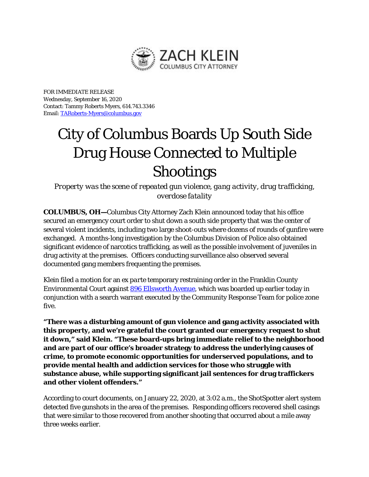

FOR IMMEDIATE RELEASE Wednesday, September 16, 2020 Contact: Tammy Roberts Myers, 614.743.3346 Email[: TARoberts-Myers@columbus.gov](mailto:TARoberts-Myers@columbus.gov)

## City of Columbus Boards Up South Side Drug House Connected to Multiple Shootings

*Property was the scene of repeated gun violence, gang activity, drug trafficking, overdose fatality*

**COLUMBUS, OH—**Columbus City Attorney Zach Klein announced today that his office secured an emergency court order to shut down a south side property that was the center of several violent incidents, including two large shoot-outs where dozens of rounds of gunfire were exchanged. A months-long investigation by the Columbus Division of Police also obtained significant evidence of narcotics trafficking, as well as the possible involvement of juveniles in drug activity at the premises. Officers conducting surveillance also observed several documented gang members frequenting the premises.

Klein filed a motion for an *ex parte* temporary restraining order in the Franklin County Environmental Court against [896 Ellsworth Avenue,](https://www.google.com/maps/place/896+Ellsworth+Ave,+Columbus,+OH+43206/@39.9480354,-82.9629093,17z/data=!3m1!4b1!4m5!3m4!1s0x8838888df6846f4f:0xeae0e7952098ad59!8m2!3d39.9480354!4d-82.9607206) which was boarded up earlier today in conjunction with a search warrant executed by the Community Response Team for police zone five.

**"There was a disturbing amount of gun violence and gang activity associated with this property, and we're grateful the court granted our emergency request to shut it down," said Klein. "These board-ups bring immediate relief to the neighborhood and are part of our office's broader strategy to address the underlying causes of crime, to promote economic opportunities for underserved populations, and to provide mental health and addiction services for those who struggle with substance abuse, while supporting significant jail sentences for drug traffickers and other violent offenders."** 

According to court documents, on January 22, 2020, at 3:02 a.m., the ShotSpotter alert system detected five gunshots in the area of the premises. Responding officers recovered shell casings that were similar to those recovered from another shooting that occurred about a mile away three weeks earlier.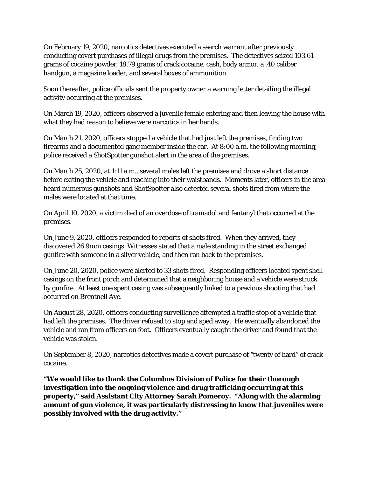On February 19, 2020, narcotics detectives executed a search warrant after previously conducting covert purchases of illegal drugs from the premises. The detectives seized 103.61 grams of cocaine powder, 18.79 grams of crack cocaine, cash, body armor, a .40 caliber handgun, a magazine loader, and several boxes of ammunition.

Soon thereafter, police officials sent the property owner a warning letter detailing the illegal activity occurring at the premises.

On March 19, 2020, officers observed a juvenile female entering and then leaving the house with what they had reason to believe were narcotics in her hands.

On March 21, 2020, officers stopped a vehicle that had just left the premises, finding two firearms and a documented gang member inside the car. At 8:00 a.m. the following morning, police received a ShotSpotter gunshot alert in the area of the premises.

On March 25, 2020, at 1:11 a.m., several males left the premises and drove a short distance before exiting the vehicle and reaching into their waistbands. Moments later, officers in the area heard numerous gunshots and ShotSpotter also detected several shots fired from where the males were located at that time.

On April 10, 2020, a victim died of an overdose of tramadol and fentanyl that occurred at the premises.

On June 9, 2020, officers responded to reports of shots fired. When they arrived, they discovered 26 9mm casings. Witnesses stated that a male standing in the street exchanged gunfire with someone in a silver vehicle, and then ran back to the premises.

On June 20, 2020, police were alerted to 33 shots fired. Responding officers located spent shell casings on the front porch and determined that a neighboring house and a vehicle were struck by gunfire. At least one spent casing was subsequently linked to a previous shooting that had occurred on Brentnell Ave.

On August 28, 2020, officers conducting surveillance attempted a traffic stop of a vehicle that had left the premises. The driver refused to stop and sped away. He eventually abandoned the vehicle and ran from officers on foot. Officers eventually caught the driver and found that the vehicle was stolen.

On September 8, 2020, narcotics detectives made a covert purchase of "twenty of hard" of crack cocaine.

**"We would like to thank the Columbus Division of Police for their thorough investigation into the ongoing violence and drug trafficking occurring at this property," said Assistant City Attorney Sarah Pomeroy. "Along with the alarming amount of gun violence, it was particularly distressing to know that juveniles were possibly involved with the drug activity."**